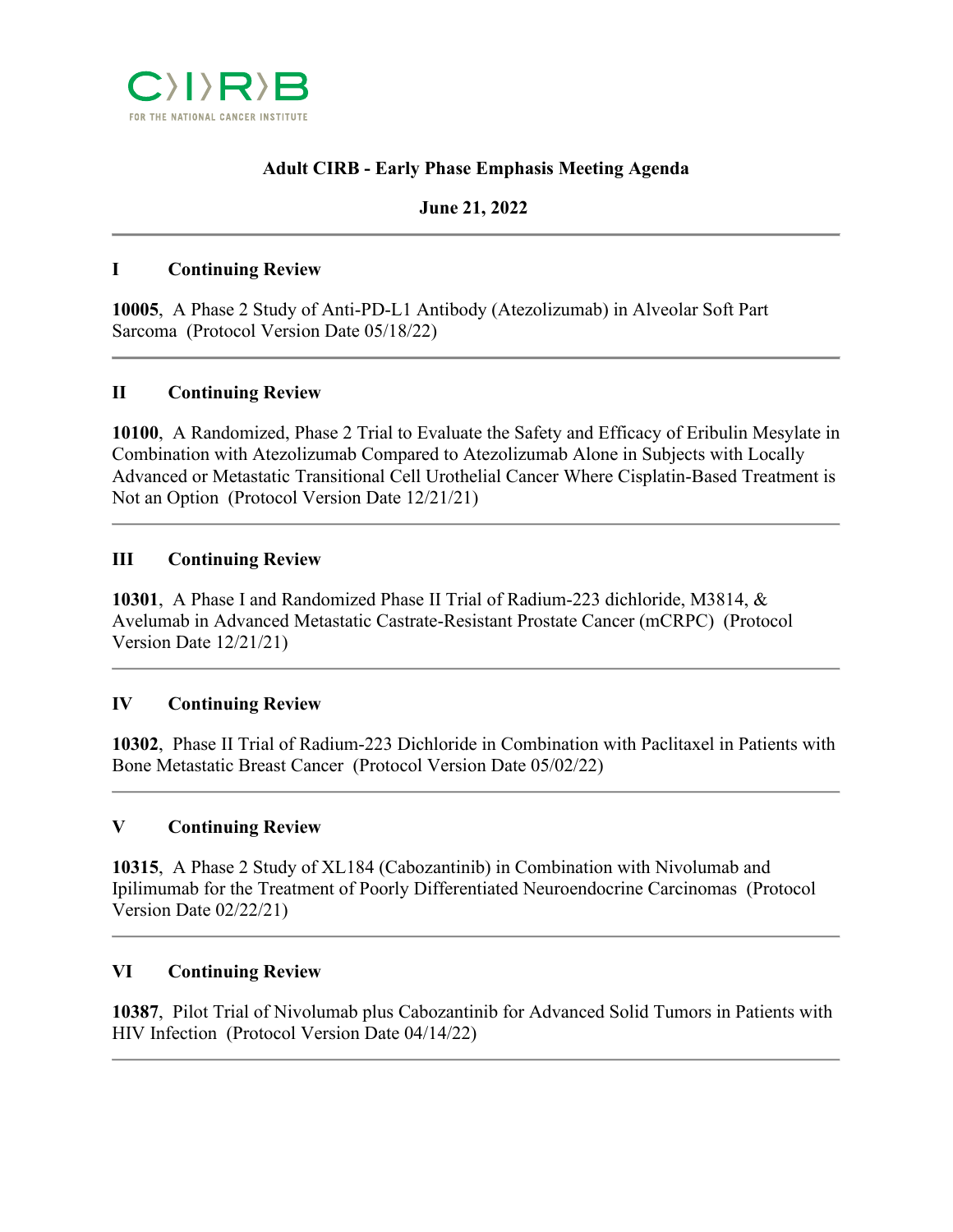

# **Adult CIRB - Early Phase Emphasis Meeting Agenda**

## **June 21, 2022**

#### **I Continuing Review**

**10005**, A Phase 2 Study of Anti-PD-L1 Antibody (Atezolizumab) in Alveolar Soft Part Sarcoma (Protocol Version Date 05/18/22)

## **II Continuing Review**

**10100**, A Randomized, Phase 2 Trial to Evaluate the Safety and Efficacy of Eribulin Mesylate in Combination with Atezolizumab Compared to Atezolizumab Alone in Subjects with Locally Advanced or Metastatic Transitional Cell Urothelial Cancer Where Cisplatin-Based Treatment is Not an Option (Protocol Version Date 12/21/21)

## **III Continuing Review**

**10301**, A Phase I and Randomized Phase II Trial of Radium-223 dichloride, M3814, & Avelumab in Advanced Metastatic Castrate-Resistant Prostate Cancer (mCRPC) (Protocol Version Date 12/21/21)

## **IV Continuing Review**

**10302**, Phase II Trial of Radium-223 Dichloride in Combination with Paclitaxel in Patients with Bone Metastatic Breast Cancer (Protocol Version Date 05/02/22)

## **V Continuing Review**

**10315**, A Phase 2 Study of XL184 (Cabozantinib) in Combination with Nivolumab and Ipilimumab for the Treatment of Poorly Differentiated Neuroendocrine Carcinomas (Protocol Version Date 02/22/21)

#### **VI Continuing Review**

**10387**, Pilot Trial of Nivolumab plus Cabozantinib for Advanced Solid Tumors in Patients with HIV Infection (Protocol Version Date 04/14/22)